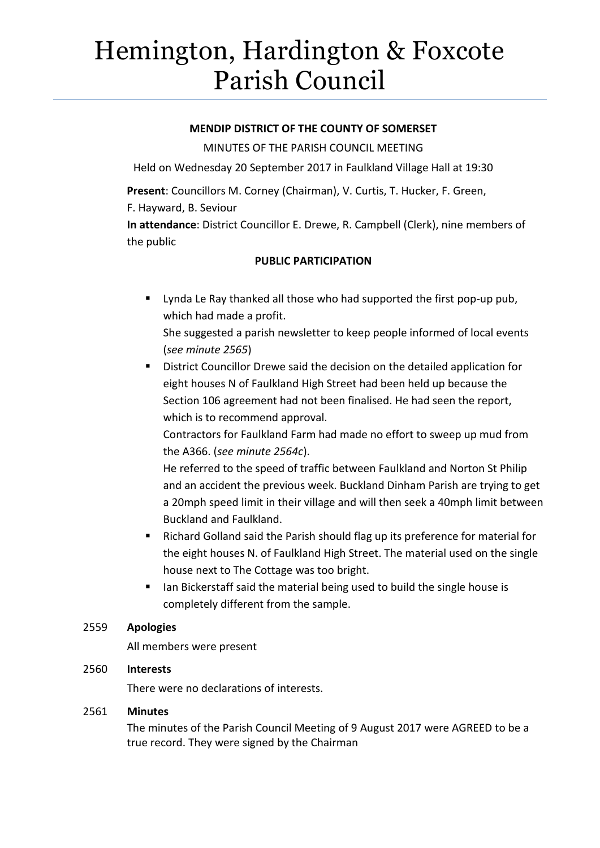# Hemington, Hardington & Foxcote Parish Council

## **MENDIP DISTRICT OF THE COUNTY OF SOMERSET**

MINUTES OF THE PARISH COUNCIL MEETING

Held on Wednesday 20 September 2017 in Faulkland Village Hall at 19:30

**Present**: Councillors M. Corney (Chairman), V. Curtis, T. Hucker, F. Green, F. Hayward, B. Seviour

**In attendance**: District Councillor E. Drewe, R. Campbell (Clerk), nine members of the public

# **PUBLIC PARTICIPATION**

 Lynda Le Ray thanked all those who had supported the first pop-up pub, which had made a profit.

She suggested a parish newsletter to keep people informed of local events (*see minute 2565*)

**District Councillor Drewe said the decision on the detailed application for** eight houses N of Faulkland High Street had been held up because the Section 106 agreement had not been finalised. He had seen the report, which is to recommend approval.

Contractors for Faulkland Farm had made no effort to sweep up mud from the A366. (*see minute 2564c*).

He referred to the speed of traffic between Faulkland and Norton St Philip and an accident the previous week. Buckland Dinham Parish are trying to get a 20mph speed limit in their village and will then seek a 40mph limit between Buckland and Faulkland.

- Richard Golland said the Parish should flag up its preference for material for the eight houses N. of Faulkland High Street. The material used on the single house next to The Cottage was too bright.
- Ian Bickerstaff said the material being used to build the single house is completely different from the sample.

# 2559 **Apologies**

All members were present

# 2560 **Interests**

There were no declarations of interests.

### 2561 **Minutes**

The minutes of the Parish Council Meeting of 9 August 2017 were AGREED to be a true record. They were signed by the Chairman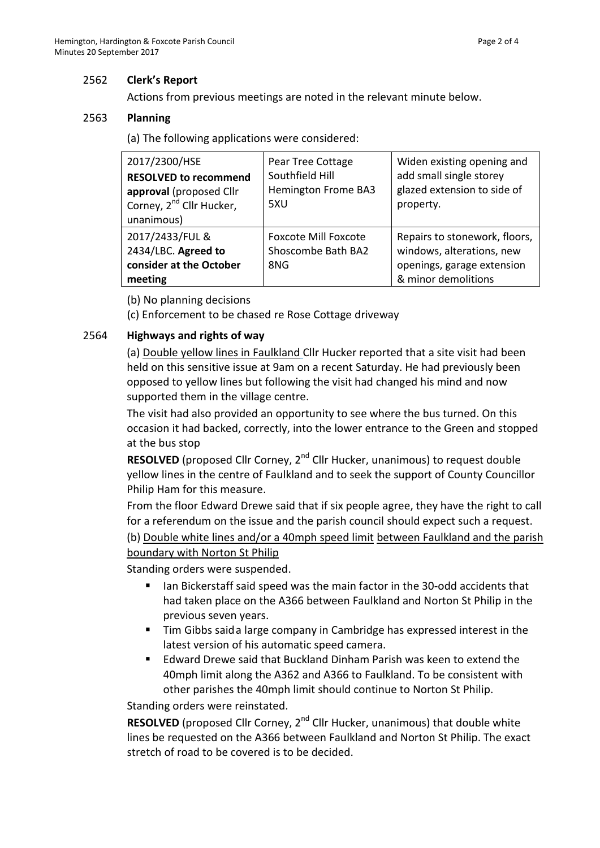# 2562 **Clerk's Report**

Actions from previous meetings are noted in the relevant minute below.

## 2563 **Planning**

(a) The following applications were considered:

| 2017/2300/HSE<br><b>RESOLVED to recommend</b><br>approval (proposed Cllr<br>Corney, 2 <sup>nd</sup> Cllr Hucker,<br>unanimous) | Pear Tree Cottage<br>Southfield Hill<br><b>Hemington Frome BA3</b><br>5XU | Widen existing opening and<br>add small single storey<br>glazed extension to side of<br>property.               |
|--------------------------------------------------------------------------------------------------------------------------------|---------------------------------------------------------------------------|-----------------------------------------------------------------------------------------------------------------|
| 2017/2433/FUL &<br>2434/LBC. Agreed to<br>consider at the October<br>meeting                                                   | <b>Foxcote Mill Foxcote</b><br>Shoscombe Bath BA2<br>8NG                  | Repairs to stonework, floors,<br>windows, alterations, new<br>openings, garage extension<br>& minor demolitions |

(b) No planning decisions

(c) Enforcement to be chased re Rose Cottage driveway

## 2564 **Highways and rights of way**

(a) Double yellow lines in Faulkland Cllr Hucker reported that a site visit had been held on this sensitive issue at 9am on a recent Saturday. He had previously been opposed to yellow lines but following the visit had changed his mind and now supported them in the village centre.

The visit had also provided an opportunity to see where the bus turned. On this occasion it had backed, correctly, into the lower entrance to the Green and stopped at the bus stop

**RESOLVED** (proposed Cllr Corney, 2<sup>nd</sup> Cllr Hucker, unanimous) to request double yellow lines in the centre of Faulkland and to seek the support of County Councillor Philip Ham for this measure.

From the floor Edward Drewe said that if six people agree, they have the right to call for a referendum on the issue and the parish council should expect such a request.

(b) Double white lines and/or a 40mph speed limit between Faulkland and the parish boundary with Norton St Philip

Standing orders were suspended.

- In Bickerstaff said speed was the main factor in the 30-odd accidents that had taken place on the A366 between Faulkland and Norton St Philip in the previous seven years.
- Tim Gibbs saida large company in Cambridge has expressed interest in the latest version of his automatic speed camera.
- Edward Drewe said that Buckland Dinham Parish was keen to extend the 40mph limit along the A362 and A366 to Faulkland. To be consistent with other parishes the 40mph limit should continue to Norton St Philip.

Standing orders were reinstated.

**RESOLVED** (proposed Cllr Corney, 2<sup>nd</sup> Cllr Hucker, unanimous) that double white lines be requested on the A366 between Faulkland and Norton St Philip. The exact stretch of road to be covered is to be decided.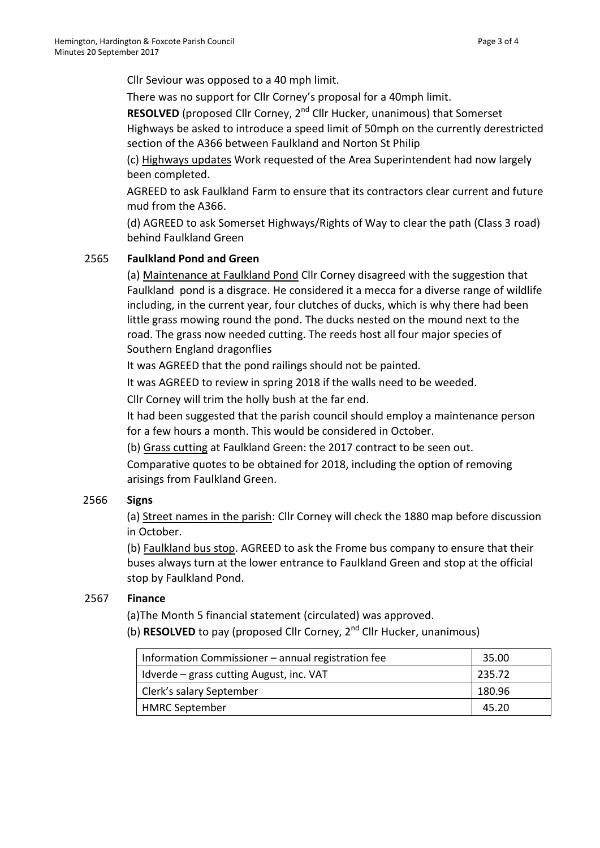Cllr Seviour was opposed to a 40 mph limit.

There was no support for Cllr Corney's proposal for a 40mph limit.

**RESOLVED** (proposed Cllr Corney, 2<sup>nd</sup> Cllr Hucker, unanimous) that Somerset Highways be asked to introduce a speed limit of 50mph on the currently derestricted section of the A366 between Faulkland and Norton St Philip

(c) Highways updates Work requested of the Area Superintendent had now largely been completed.

AGREED to ask Faulkland Farm to ensure that its contractors clear current and future mud from the A366.

(d) AGREED to ask Somerset Highways/Rights of Way to clear the path (Class 3 road) behind Faulkland Green

# 2565 **Faulkland Pond and Green**

(a) Maintenance at Faulkland Pond Cllr Corney disagreed with the suggestion that Faulkland pond is a disgrace. He considered it a mecca for a diverse range of wildlife including, in the current year, four clutches of ducks, which is why there had been little grass mowing round the pond. The ducks nested on the mound next to the road. The grass now needed cutting. The reeds host all four major species of Southern England dragonflies

It was AGREED that the pond railings should not be painted.

It was AGREED to review in spring 2018 if the walls need to be weeded.

Cllr Corney will trim the holly bush at the far end.

It had been suggested that the parish council should employ a maintenance person for a few hours a month. This would be considered in October.

(b) Grass cutting at Faulkland Green: the 2017 contract to be seen out.

Comparative quotes to be obtained for 2018, including the option of removing arisings from Faulkland Green.

# 2566 **Signs**

(a) Street names in the parish: Cllr Corney will check the 1880 map before discussion in October.

(b) Faulkland bus stop. AGREED to ask the Frome bus company to ensure that their buses always turn at the lower entrance to Faulkland Green and stop at the official stop by Faulkland Pond.

### 2567 **Finance**

(a)The Month 5 financial statement (circulated) was approved.

(b) **RESOLVED** to pay (proposed Cllr Corney, 2nd Cllr Hucker, unanimous)

| Information Commissioner – annual registration fee | 35.00  |
|----------------------------------------------------|--------|
| Idverde – grass cutting August, inc. VAT           | 235.72 |
| Clerk's salary September                           | 180.96 |
| <b>HMRC September</b>                              | 45.20  |